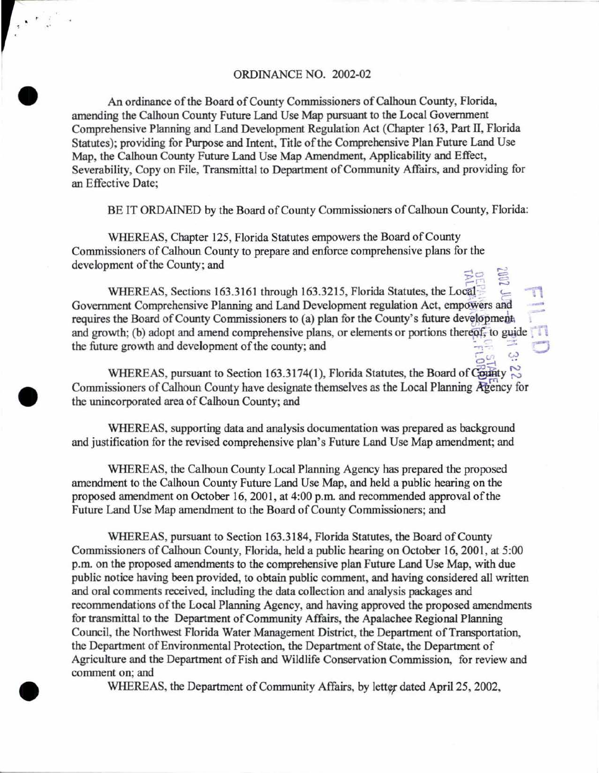# ORDINANCE NO. 2002-02

 $\sum_{i=1}^n$ 

•

•

An ordinance of the Board of County Commissioners of Calhoun County, Florida, amending the Calhoun County Future Land Use Map pursuant to the Local Government Comprehensive Planning and Land Development Regulation Act (Chapter 163, Part II, Florida Statutes); providing for Purpose and Intent, Title of the Comprehensive Plan Future Land Use Map, the Calhoun County Future Land Use Map Amendment, Applicability and Effect, Severability, Copy on File, Transmittal to Department of Community Affairs, and providing for an Effective Date;

BE IT ORDAINED by the Board of County Commissioners of Calhoun County, Florida:

WHEREAS, Chapter 125, Florida Statutes empowers the Board of County Commissioners of Calhoun County to prepare and enforce comprehensive plans for the development of the County; and

 $\frac{1}{25}$   $\frac{1}{20}$   $\frac{1}{25}$ WHEREAS, Sections 163.3161 through 163.3215, Florida Statutes, the Local<sup>33</sup> Government Comprehensive Planning and Land Development regulation Act, empowers and requires the Board of County Commissioners to (a) plan for the County's future development. and growth; (b) adopt and amend comprehensive plans, or elements or portions thereof, to guide the future growth and development of the county; and :.....: *:::.* ..:,:}

 $\Xi_{12}^{20}$   $\Xi_{23}^{30}$ WHEREAS, pursuant to Section 163.3174(1), Florida Statutes, the Board of County  $\sim$ Commissioners of Calhoun County have designate themselves as the Local Planning Agency for the unincorporated area of Calhoun County; and

WHEREAS, supporting data and analysis documentation was prepared as background and justification for the revised comprehensive plan's Future Land Use Map amendment; and

WHEREAS, the Calhoun County Local Planning Agency has prepared the proposed amendment to the Calhoun County Future Land Use Map, and held a public hearing on the proposed amendment on October 16, 2001, at 4:00 p.m. and recommended approval of the Future Land Use Map amendment to the Board of County Commissioners; and

WHEREAS, pursuant to Section 163.3184, Florida Statutes, the Board of County Commissioners of Calhoun County, Florida, held a public hearing on October 16, 2001, at 5:00 p.m. on the proposed amendments to the comprehensive plan Future Land Use Map, with due public notice having been provided, to obtain public comment, and having considered all written and oral comments received, including the data collection and analysis packages and recommendations of the Local Planning Agency, and having approved the proposed amendments for transmittal to the Department of Community Affairs, the Apalachee Regional Planning Council, the Northwest Florida Water Management District, the Department of Transportation, the Department of Environmental Protection, the Department of State, the Department of Agriculture and the Department of Fish and Wildlife Conservation Commission, for review and comment on; and

WHEREAS, the Department of Community Affairs, by letter dated April 25, 2002,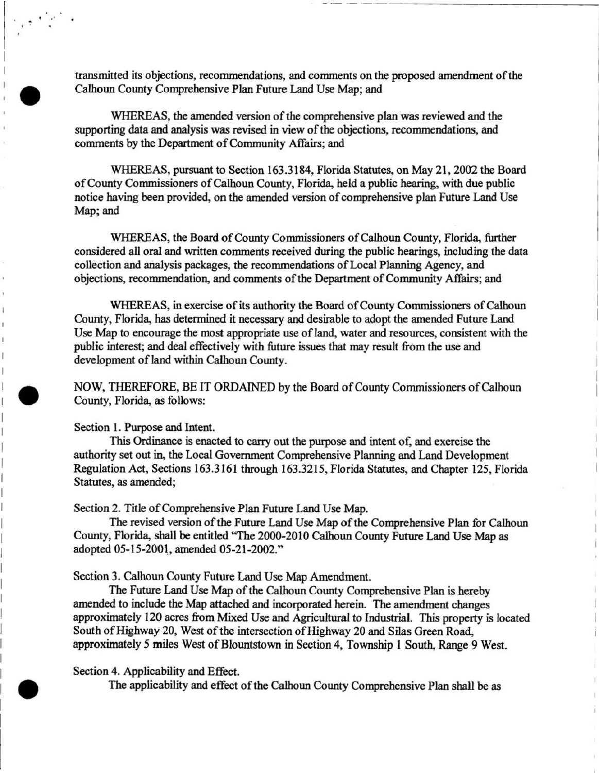transmitted its objections, recommendations, and comments on the proposed amendment of the Calhoun County Comprehensive Plan Future Land Use Map; and

WHEREAS, the amended version of the comprehensive plan was reviewed and the supporting data and analysis was revised in view of the objections, recommendations, and comments by the Department of Community Affairs; and

WHEREAS, pursuant to Section 163.3184, Florida Statutes, on May 21, 2002 the Board of County Commissioners of Calhoun County, Florida, held a public hearing, with due public notice having been provided, on the amended version of comprehensive plan Future Land Use Map; and

WHEREAS, the Board of County Commissioners of Calhoun County, Florida, further considered all oral and written comments received during the public hearings, including the data collection and analysis packages, the recommendations of Local Planning Agency, and objections, recommendation, and comments of the Department of Community Affairs; and

WHEREAS, in exercise of its authority the Board of County Commissioners of Calhoun County, Florida, has determined it necessary and desirable to adopt the amended Future Land Use Map to encourage the most appropriate use of land, water and resources, consistent with the public interest; and deal effectively with future issues that may result from the use and development of land within Calhoun County.

NOW, THEREFORE, BE IT ORDAINED by the Board of County Commissioners of Calhoun County, Florida, as follows:

Section 1. Purpose and Intent.

..

•

•

This Ordinance is enacted to carry out the purpose and intent of, and exercise the authority set out in, the Local Government Comprehensive Planning and Land Development Regulation Act, Sections 163.3161 through 163.3215, Florida Statutes, and Chapter 125, Florida Statutes, as amended;

Section 2. Title of Comprehensive Plan Future Land Use Map.

The revised version of the Future Land Use Map of the Comprehensive Plan for Calhoun County, Florida, shall be entitled 'The 2000-2010 Calhoun County Future Land Use Map as adopted 05-15-2001, amended 05-21-2002."

Section 3. Calhoun County Future Land Use Map Amendment.

The Future Land Use Map of the Calhoun County Comprehensive Plan is hereby amended to include the Map attached and incorporated herein. The amendment changes approximately 120 acres from Mixed Use and Agricultural to Industrial. This property is located South of Highway 20, West of the intersection of Highway 20 and Silas Green Road, approximately *5* miles West of Blountstown in Section 4, Township 1 South, Range 9 West.

Section 4. Applicability and Effect.

The applicability and effect of the Calhoun County Comprehensive Plan shall be as